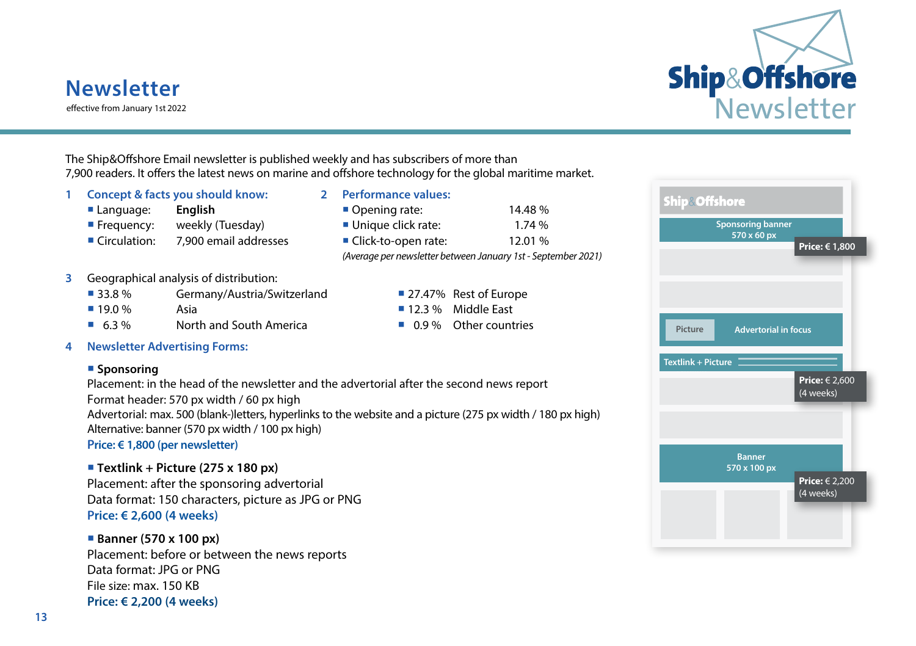# **Newsletter**

effective from January 1st 2022



The Ship&Offshore Email newsletter is published weekly and has subscribers of more than 7,900 readers. It offers the latest news on marine and offshore technology for the global maritime market.

- **1 Concept & facts you should know: 2 Performance values:**
	-
	-
	- Circulation: 7,900 email addresses Elick-to-open rate: 12.01 %
	- **Language: English <b>English Example 20**  $\blacksquare$  Opening rate: 14.48 % Frequency: weekly (Tuesday) Unique click rate: 1.74 %

*(Average per newsletter between January 1st - September 2021)*

# **3** Geographical analysis of distribution:

- 33.8 % Germany/Austria/Switzerland 27.47% Rest of Europe
- 19.0 % Asia 12.3 % Middle East
- 6.3 % North and South America 0.9 % Other countries
- **4 Newsletter Advertising Forms:**

### **Sponsoring**

Placement: in the head of the newsletter and the advertorial after the second news report

Format header: 570 px width / 60 px high

Advertorial: max. 500 (blank-)letters, hyperlinks to the website and a picture (275 px width / 180 px high) Alternative: banner (570 px width / 100 px high)

**Price: € 1,800 (per newsletter)**

# **Textlink + Picture (275 x 180 px)**

Placement: after the sponsoring advertorial Data format: 150 characters, picture as JPG or PNG **Price: € 2,600 (4 weeks)**

# **Banner (570 x 100 px)**

Placement: before or between the news reports Data format: JPG or PNG File size: max. 150 KB **Price: € 2,200 (4 weeks)**

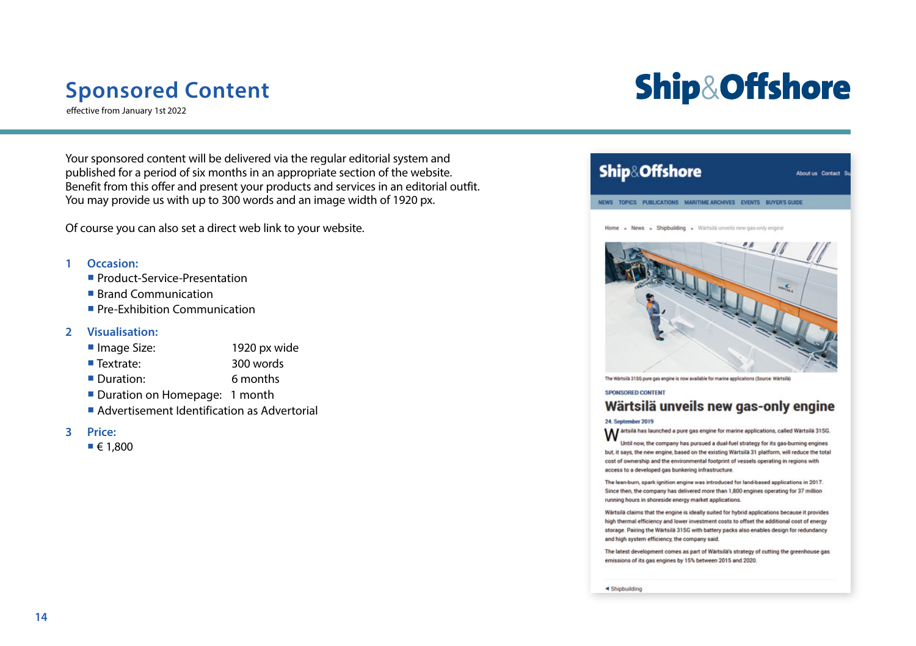# **Sponsored Content**

effective from January 1st 2022

# **Ship&Offshore**

Your sponsored content will be delivered via the regular editorial system and published for a period of six months in an appropriate section of the website. Benefit from this offer and present your products and services in an editorial outfit. You may provide us with up to 300 words and an image width of 1920 px.

Of course you can also set a direct web link to your website.

### **1 Occasion:**

- **Product-Service-Presentation**
- Brand Communication
- **Pre-Exhibition Communication**

### **2 Visualisation:**

- Image Size: 1920 px wide
- Textrate: 300 words
- Duration: 6 months
- Duration on Homepage: 1 month
- **Advertisement Identification as Advertorial**

### **3 Price:**

 $\blacksquare$   $\in$  1.800



#### **SPONSORED CONTENT**

# Wärtsilä unveils new gas-only engine

#### **24. September 2019**

24. September 2019<br>Martsila has launched a pure gas engine for marine applications, called Wärtsilä 31SG.

Until now, the company has pursued a dual-fuel strategy for its gas-burning engines but, it says, the new engine, based on the existing Wärtsilä 31 platform, will reduce the total cost of ownership and the environmental footprint of vessels operating in regions with access to a developed gas bunkering infrastructure.

The lean-burn, spark ignition engine was introduced for land-based applications in 2017. Since then, the company has delivered more than 1,800 engines operating for 37 million running hours in shoreside energy market applications.

Wärtsilä claims that the engine is ideally suited for hybrid applications because it provides high thermal efficiency and lower investment costs to offset the additional cost of energy storage. Pairing the Wärtsilä 31SG with battery packs also enables design for redundancy and high system efficiency, the company said.

The latest development comes as part of Wärtsilä's strategy of cutting the greenhouse gas emissions of its gas engines by 15% between 2015 and 2020.

<br /> **<br />
Shipbuilding**